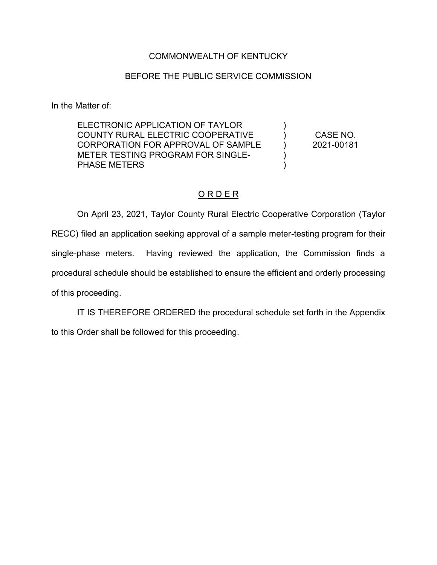### COMMONWEALTH OF KENTUCKY

#### BEFORE THE PUBLIC SERVICE COMMISSION

In the Matter of:

ELECTRONIC APPLICATION OF TAYLOR COUNTY RURAL ELECTRIC COOPERATIVE CORPORATION FOR APPROVAL OF SAMPLE METER TESTING PROGRAM FOR SINGLE-PHASE METERS

CASE NO. 2021-00181

)  $\lambda$  $\lambda$ )  $\lambda$ 

#### O R D E R

On April 23, 2021, Taylor County Rural Electric Cooperative Corporation (Taylor RECC) filed an application seeking approval of a sample meter-testing program for their single-phase meters. Having reviewed the application, the Commission finds a procedural schedule should be established to ensure the efficient and orderly processing of this proceeding.

IT IS THEREFORE ORDERED the procedural schedule set forth in the Appendix to this Order shall be followed for this proceeding.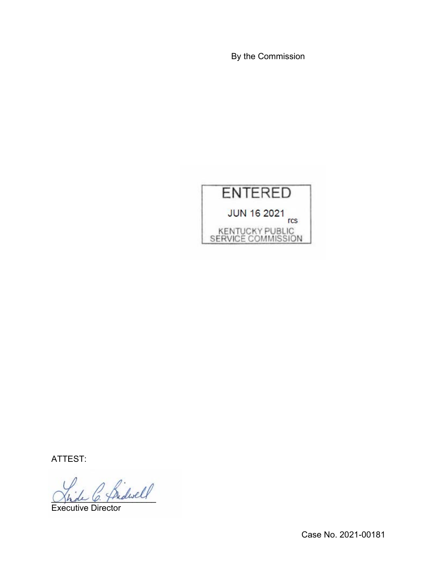By the Commission



ATTEST:

 $^{\prime}$  friderell

Executive Director

Case No. 2021-00181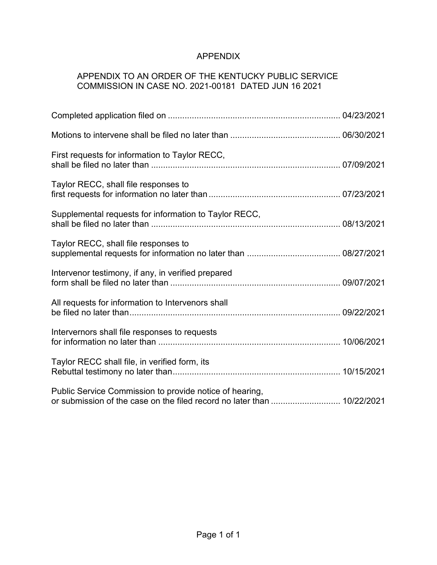# APPENDIX

## APPENDIX TO AN ORDER OF THE KENTUCKY PUBLIC SERVICE COMMISSION IN CASE NO. 2021-00181 DATED JUN 16 2021

| First requests for information to Taylor RECC,                                                                                     |  |
|------------------------------------------------------------------------------------------------------------------------------------|--|
| Taylor RECC, shall file responses to                                                                                               |  |
| Supplemental requests for information to Taylor RECC,                                                                              |  |
| Taylor RECC, shall file responses to                                                                                               |  |
| Intervenor testimony, if any, in verified prepared                                                                                 |  |
| All requests for information to Intervenors shall                                                                                  |  |
| Intervernors shall file responses to requests                                                                                      |  |
| Taylor RECC shall file, in verified form, its                                                                                      |  |
| Public Service Commission to provide notice of hearing,<br>or submission of the case on the filed record no later than  10/22/2021 |  |